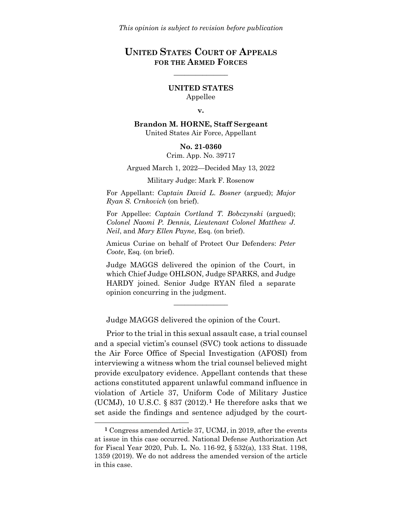# **UNITED STATES COURT OF APPEALS FOR THE ARMED FORCES**

\_\_\_\_\_\_\_\_\_\_\_\_\_\_\_

**UNITED STATES** Appellee

#### **v.**

**Brandon M. HORNE, Staff Sergeant** United States Air Force, Appellant

#### **No. 21-0360**

Crim. App. No. 39717

Argued March 1, 2022—Decided May 13, 2022

Military Judge: Mark F. Rosenow

For Appellant: *Captain David L. Bosner* (argued); *Major Ryan S. Crnkovich* (on brief).

For Appellee: *Captain Cortland T. Bobczynski* (argued); *Colonel Naomi P. Dennis*, *Lieutenant Colonel Matthew J. Neil*, and *Mary Ellen Payne*, Esq. (on brief).

Amicus Curiae on behalf of Protect Our Defenders: *Peter Coote*, Esq. (on brief).

Judge MAGGS delivered the opinion of the Court, in which Chief Judge OHLSON, Judge SPARKS, and Judge HARDY joined. Senior Judge RYAN filed a separate opinion concurring in the judgment.

\_\_\_\_\_\_\_\_\_\_\_\_\_\_\_

Judge MAGGS delivered the opinion of the Court.

Prior to the trial in this sexual assault case, a trial counsel and a special victim's counsel (SVC) took actions to dissuade the Air Force Office of Special Investigation (AFOSI) from interviewing a witness whom the trial counsel believed might provide exculpatory evidence. Appellant contends that these actions constituted apparent unlawful command influence in violation of Article 37, Uniform Code of Military Justice (UCMJ), 10 U.S.C. § 837 (2012).**[1](#page-0-0)** He therefore asks that we set aside the findings and sentence adjudged by the court-

 $\overline{a}$ 

<span id="page-0-0"></span>**<sup>1</sup>** Congress amended Article 37, UCMJ, in 2019, after the events at issue in this case occurred. National Defense Authorization Act for Fiscal Year 2020, Pub. L. No. 116-92, § 532(a), 133 Stat. 1198, 1359 (2019). We do not address the amended version of the article in this case.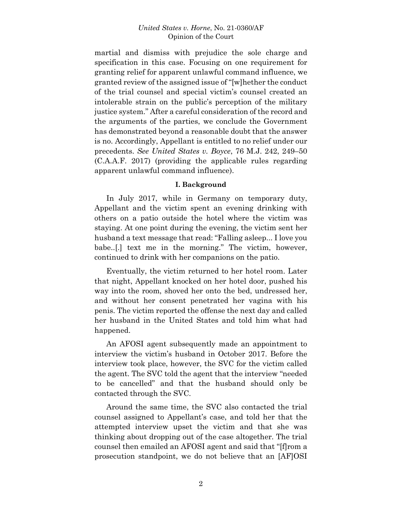martial and dismiss with prejudice the sole charge and specification in this case. Focusing on one requirement for granting relief for apparent unlawful command influence, we granted review of the assigned issue of "[w]hether the conduct of the trial counsel and special victim's counsel created an intolerable strain on the public's perception of the military justice system." After a careful consideration of the record and the arguments of the parties, we conclude the Government has demonstrated beyond a reasonable doubt that the answer is no. Accordingly, Appellant is entitled to no relief under our precedents. *See United States v. Boyce*, 76 M.J. 242, 249–50 (C.A.A.F. 2017) (providing the applicable rules regarding apparent unlawful command influence).

# **I. Background**

In July 2017, while in Germany on temporary duty, Appellant and the victim spent an evening drinking with others on a patio outside the hotel where the victim was staying. At one point during the evening, the victim sent her husband a text message that read: "Falling asleep... I love you babe..[.] text me in the morning." The victim, however, continued to drink with her companions on the patio.

Eventually, the victim returned to her hotel room. Later that night, Appellant knocked on her hotel door, pushed his way into the room, shoved her onto the bed, undressed her, and without her consent penetrated her vagina with his penis. The victim reported the offense the next day and called her husband in the United States and told him what had happened.

An AFOSI agent subsequently made an appointment to interview the victim's husband in October 2017. Before the interview took place, however, the SVC for the victim called the agent. The SVC told the agent that the interview "needed to be cancelled" and that the husband should only be contacted through the SVC.

Around the same time, the SVC also contacted the trial counsel assigned to Appellant's case, and told her that the attempted interview upset the victim and that she was thinking about dropping out of the case altogether. The trial counsel then emailed an AFOSI agent and said that "[f]rom a prosecution standpoint, we do not believe that an [AF]OSI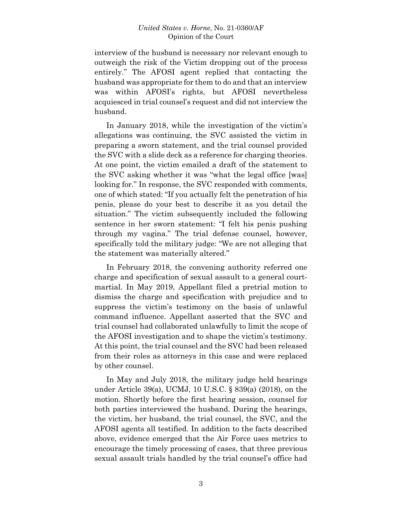interview of the husband is necessary nor relevant enough to outweigh the risk of the Victim dropping out of the process entirely." The AFOSI agent replied that contacting the husband was appropriate for them to do and that an interview was within AFOSI's rights, but AFOSI nevertheless acquiesced in trial counsel's request and did not interview the husband.

In January 2018, while the investigation of the victim's allegations was continuing, the SVC assisted the victim in preparing a sworn statement, and the trial counsel provided the SVC with a slide deck as a reference for charging theories. At one point, the victim emailed a draft of the statement to the SVC asking whether it was "what the legal office [was] looking for." In response, the SVC responded with comments, one of which stated: "If you actually felt the penetration of his penis, please do your best to describe it as you detail the situation." The victim subsequently included the following sentence in her sworn statement: "I felt his penis pushing through my vagina." The trial defense counsel, however, specifically told the military judge: "We are not alleging that the statement was materially altered."

In February 2018, the convening authority referred one charge and specification of sexual assault to a general courtmartial. In May 2019, Appellant filed a pretrial motion to dismiss the charge and specification with prejudice and to suppress the victim's testimony on the basis of unlawful command influence. Appellant asserted that the SVC and trial counsel had collaborated unlawfully to limit the scope of the AFOSI investigation and to shape the victim's testimony. At this point, the trial counsel and the SVC had been released from their roles as attorneys in this case and were replaced by other counsel.

In May and July 2018, the military judge held hearings under Article 39(a), UCMJ, 10 U.S.C. § 839(a) (2018), on the motion. Shortly before the first hearing session, counsel for both parties interviewed the husband. During the hearings, the victim, her husband, the trial counsel, the SVC, and the AFOSI agents all testified. In addition to the facts described above, evidence emerged that the Air Force uses metrics to encourage the timely processing of cases, that three previous sexual assault trials handled by the trial counsel's office had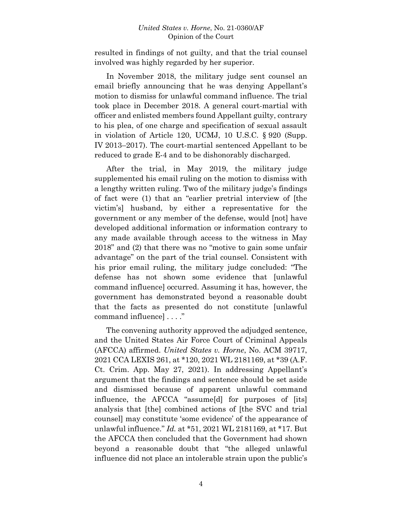resulted in findings of not guilty, and that the trial counsel involved was highly regarded by her superior.

In November 2018, the military judge sent counsel an email briefly announcing that he was denying Appellant's motion to dismiss for unlawful command influence. The trial took place in December 2018. A general court-martial with officer and enlisted members found Appellant guilty, contrary to his plea, of one charge and specification of sexual assault in violation of Article 120, UCMJ, 10 U.S.C. § 920 (Supp. IV 2013–2017). The court-martial sentenced Appellant to be reduced to grade E-4 and to be dishonorably discharged.

After the trial, in May 2019, the military judge supplemented his email ruling on the motion to dismiss with a lengthy written ruling. Two of the military judge's findings of fact were (1) that an "earlier pretrial interview of [the victim's] husband, by either a representative for the government or any member of the defense, would [not] have developed additional information or information contrary to any made available through access to the witness in May 2018" and (2) that there was no "motive to gain some unfair advantage" on the part of the trial counsel. Consistent with his prior email ruling, the military judge concluded: "The defense has not shown some evidence that [unlawful command influence] occurred. Assuming it has, however, the government has demonstrated beyond a reasonable doubt that the facts as presented do not constitute [unlawful command influence] . . . ."

The convening authority approved the adjudged sentence, and the United States Air Force Court of Criminal Appeals (AFCCA) affirmed. *United States v. Horne*, No. ACM 39717, 2021 CCA LEXIS 261, at \*120, 2021 WL 2181169, at \*39 (A.F. Ct. Crim. App. May 27, 2021). In addressing Appellant's argument that the findings and sentence should be set aside and dismissed because of apparent unlawful command influence, the AFCCA "assume[d] for purposes of [its] analysis that [the] combined actions of [the SVC and trial counsel] may constitute 'some evidence' of the appearance of unlawful influence." *Id.* at \*51, 2021 WL 2181169, at \*17. But the AFCCA then concluded that the Government had shown beyond a reasonable doubt that "the alleged unlawful influence did not place an intolerable strain upon the public's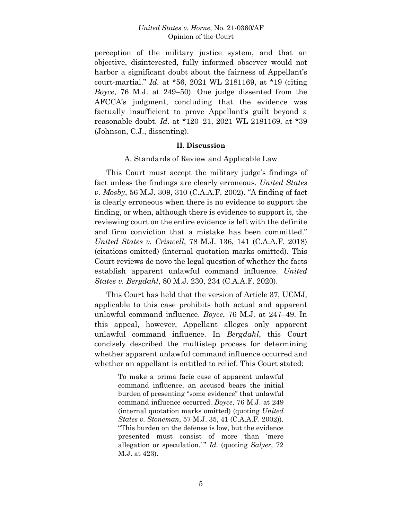perception of the military justice system, and that an objective, disinterested, fully informed observer would not harbor a significant doubt about the fairness of Appellant's court-martial." *Id.* at \*56, 2021 WL 2181169, at \*19 (citing *Boyce*, 76 M.J. at 249–50). One judge dissented from the AFCCA's judgment, concluding that the evidence was factually insufficient to prove Appellant's guilt beyond a reasonable doubt. *Id.* at \*120–21, 2021 WL 2181169, at \*39 (Johnson, C.J., dissenting).

#### **II. Discussion**

### A. Standards of Review and Applicable Law

This Court must accept the military judge's findings of fact unless the findings are clearly erroneous. *United States v. Mosby*, 56 M.J. 309, 310 (C.A.A.F. 2002). "A finding of fact is clearly erroneous when there is no evidence to support the finding, or when, although there is evidence to support it, the reviewing court on the entire evidence is left with the definite and firm conviction that a mistake has been committed." *United States v. Criswell*, 78 M.J. 136, 141 (C.A.A.F. 2018) (citations omitted) (internal quotation marks omitted). This Court reviews de novo the legal question of whether the facts establish apparent unlawful command influence. *United States v. Bergdahl*, 80 M.J. 230, 234 (C.A.A.F. 2020).

This Court has held that the version of Article 37, UCMJ, applicable to this case prohibits both actual and apparent unlawful command influence. *Boyce*, 76 M.J. at 247–49. In this appeal, however, Appellant alleges only apparent unlawful command influence. In *Bergdahl*, this Court concisely described the multistep process for determining whether apparent unlawful command influence occurred and whether an appellant is entitled to relief. This Court stated:

> To make a prima facie case of apparent unlawful command influence, an accused bears the initial burden of presenting "some evidence" that unlawful command influence occurred. *Boyce*, 76 M.J. at 249 (internal quotation marks omitted) (quoting *United States v. Stoneman*, 57 M.J. 35, 41 (C.A.A.F. 2002)). "This burden on the defense is low, but the evidence presented must consist of more than 'mere allegation or speculation.'" *Id.* (quoting *Salyer*, 72 M.J. at 423).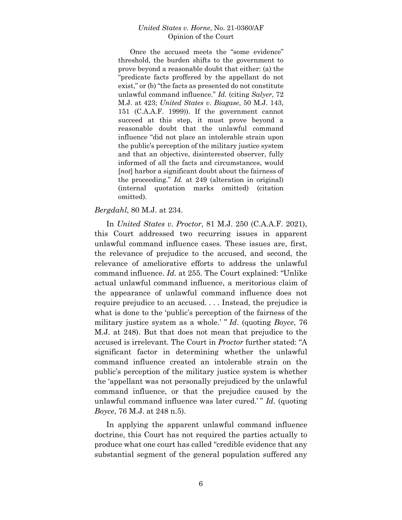Once the accused meets the "some evidence" threshold, the burden shifts to the government to prove beyond a reasonable doubt that either: (a) the "predicate facts proffered by the appellant do not exist," or (b) "the facts as presented do not constitute unlawful command influence." *Id.* (citing *Salyer*, 72 M.J. at 423; *United States v. Biagase*, 50 M.J. 143, 151 (C.A.A.F. 1999)). If the government cannot succeed at this step, it must prove beyond a reasonable doubt that the unlawful command influence "did not place an intolerable strain upon the public's perception of the military justice system and that an objective, disinterested observer, fully informed of all the facts and circumstances, would [*not*] harbor a significant doubt about the fairness of the proceeding." *Id.* at 249 (alteration in original) (internal quotation marks omitted) (citation omitted).

# *Bergdahl*, 80 M.J. at 234.

In *United States v. Proctor*, 81 M.J. 250 (C.A.A.F. 2021), this Court addressed two recurring issues in apparent unlawful command influence cases. These issues are, first, the relevance of prejudice to the accused, and second, the relevance of ameliorative efforts to address the unlawful command influence. *Id*. at 255. The Court explained: "Unlike actual unlawful command influence, a meritorious claim of the appearance of unlawful command influence does not require prejudice to an accused. . . . Instead, the prejudice is what is done to the 'public's perception of the fairness of the military justice system as a whole.' *" Id*. (quoting *Boyce*, 76 M.J. at 248). But that does not mean that prejudice to the accused is irrelevant. The Court in *Proctor* further stated: "A significant factor in determining whether the unlawful command influence created an intolerable strain on the public's perception of the military justice system is whether the 'appellant was not personally prejudiced by the unlawful command influence, or that the prejudice caused by the unlawful command influence was later cured.' " *Id.* (quoting *Boyce*, 76 M.J. at 248 n.5).

In applying the apparent unlawful command influence doctrine, this Court has not required the parties actually to produce what one court has called "credible evidence that any substantial segment of the general population suffered any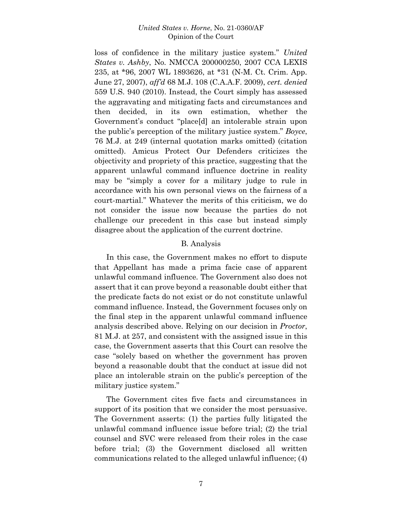loss of confidence in the military justice system." *United States v. Ashby*, No. NMCCA 200000250, 2007 CCA LEXIS 235, at \*96, 2007 WL 1893626, at \*31 (N-M. Ct. Crim. App. June 27, 2007), *aff'd* 68 M.J. 108 (C.A.A.F. 2009), *cert. denied* 559 U.S. 940 (2010). Instead, the Court simply has assessed the aggravating and mitigating facts and circumstances and then decided, in its own estimation, whether the Government's conduct "place[d] an intolerable strain upon the public's perception of the military justice system." *Boyce*, 76 M.J. at 249 (internal quotation marks omitted) (citation omitted). Amicus Protect Our Defenders criticizes the objectivity and propriety of this practice, suggesting that the apparent unlawful command influence doctrine in reality may be "simply a cover for a military judge to rule in accordance with his own personal views on the fairness of a court-martial." Whatever the merits of this criticism, we do not consider the issue now because the parties do not challenge our precedent in this case but instead simply disagree about the application of the current doctrine.

# B. Analysis

In this case, the Government makes no effort to dispute that Appellant has made a prima facie case of apparent unlawful command influence. The Government also does not assert that it can prove beyond a reasonable doubt either that the predicate facts do not exist or do not constitute unlawful command influence. Instead, the Government focuses only on the final step in the apparent unlawful command influence analysis described above. Relying on our decision in *Proctor*, 81 M.J. at 257, and consistent with the assigned issue in this case, the Government asserts that this Court can resolve the case "solely based on whether the government has proven beyond a reasonable doubt that the conduct at issue did not place an intolerable strain on the public's perception of the military justice system."

The Government cites five facts and circumstances in support of its position that we consider the most persuasive. The Government asserts: (1) the parties fully litigated the unlawful command influence issue before trial; (2) the trial counsel and SVC were released from their roles in the case before trial; (3) the Government disclosed all written communications related to the alleged unlawful influence; (4)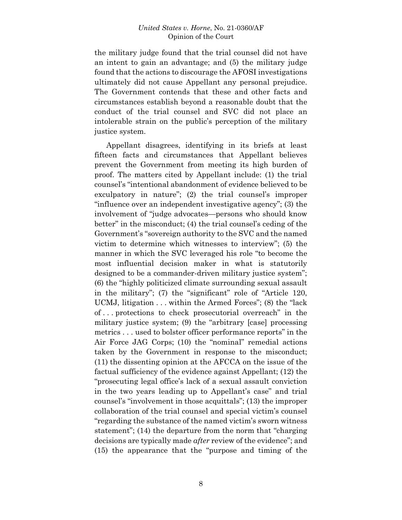the military judge found that the trial counsel did not have an intent to gain an advantage; and (5) the military judge found that the actions to discourage the AFOSI investigations ultimately did not cause Appellant any personal prejudice. The Government contends that these and other facts and circumstances establish beyond a reasonable doubt that the conduct of the trial counsel and SVC did not place an intolerable strain on the public's perception of the military justice system.

Appellant disagrees, identifying in its briefs at least fifteen facts and circumstances that Appellant believes prevent the Government from meeting its high burden of proof. The matters cited by Appellant include: (1) the trial counsel's "intentional abandonment of evidence believed to be exculpatory in nature"; (2) the trial counsel's improper "influence over an independent investigative agency"; (3) the involvement of "judge advocates—persons who should know better" in the misconduct; (4) the trial counsel's ceding of the Government's "sovereign authority to the SVC and the named victim to determine which witnesses to interview"; (5) the manner in which the SVC leveraged his role "to become the most influential decision maker in what is statutorily designed to be a commander-driven military justice system"; (6) the "highly politicized climate surrounding sexual assault in the military"; (7) the "significant" role of "Article 120, UCMJ, litigation . . . within the Armed Forces"; (8) the "lack of . . . protections to check prosecutorial overreach" in the military justice system; (9) the "arbitrary [case] processing metrics . . . used to bolster officer performance reports" in the Air Force JAG Corps; (10) the "nominal" remedial actions taken by the Government in response to the misconduct; (11) the dissenting opinion at the AFCCA on the issue of the factual sufficiency of the evidence against Appellant; (12) the "prosecuting legal office's lack of a sexual assault conviction in the two years leading up to Appellant's case" and trial counsel's "involvement in those acquittals"; (13) the improper collaboration of the trial counsel and special victim's counsel "regarding the substance of the named victim's sworn witness statement"; (14) the departure from the norm that "charging decisions are typically made *after* review of the evidence"; and (15) the appearance that the "purpose and timing of the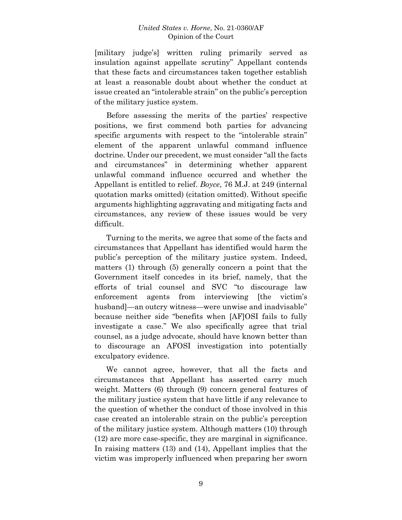[military judge's] written ruling primarily served as insulation against appellate scrutiny" Appellant contends that these facts and circumstances taken together establish at least a reasonable doubt about whether the conduct at issue created an "intolerable strain" on the public's perception of the military justice system.

Before assessing the merits of the parties' respective positions, we first commend both parties for advancing specific arguments with respect to the "intolerable strain" element of the apparent unlawful command influence doctrine. Under our precedent, we must consider "all the facts and circumstances" in determining whether apparent unlawful command influence occurred and whether the Appellant is entitled to relief. *Boyce*, 76 M.J. at 249 (internal quotation marks omitted) (citation omitted). Without specific arguments highlighting aggravating and mitigating facts and circumstances, any review of these issues would be very difficult.

Turning to the merits, we agree that some of the facts and circumstances that Appellant has identified would harm the public's perception of the military justice system. Indeed, matters (1) through (5) generally concern a point that the Government itself concedes in its brief, namely, that the efforts of trial counsel and SVC "to discourage law enforcement agents from interviewing [the victim's husband]—an outcry witness—were unwise and inadvisable" because neither side "benefits when [AF]OSI fails to fully investigate a case." We also specifically agree that trial counsel, as a judge advocate, should have known better than to discourage an AFOSI investigation into potentially exculpatory evidence.

We cannot agree, however, that all the facts and circumstances that Appellant has asserted carry much weight. Matters (6) through (9) concern general features of the military justice system that have little if any relevance to the question of whether the conduct of those involved in this case created an intolerable strain on the public's perception of the military justice system. Although matters (10) through (12) are more case-specific, they are marginal in significance. In raising matters (13) and (14), Appellant implies that the victim was improperly influenced when preparing her sworn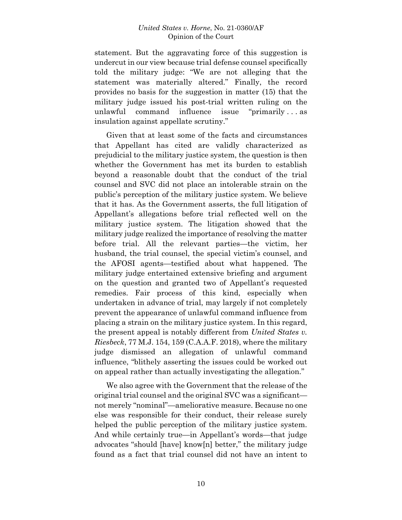statement. But the aggravating force of this suggestion is undercut in our view because trial defense counsel specifically told the military judge: "We are not alleging that the statement was materially altered." Finally, the record provides no basis for the suggestion in matter (15) that the military judge issued his post-trial written ruling on the unlawful command influence issue "primarily . . . as insulation against appellate scrutiny."

Given that at least some of the facts and circumstances that Appellant has cited are validly characterized as prejudicial to the military justice system, the question is then whether the Government has met its burden to establish beyond a reasonable doubt that the conduct of the trial counsel and SVC did not place an intolerable strain on the public's perception of the military justice system. We believe that it has. As the Government asserts, the full litigation of Appellant's allegations before trial reflected well on the military justice system. The litigation showed that the military judge realized the importance of resolving the matter before trial. All the relevant parties—the victim, her husband, the trial counsel, the special victim's counsel, and the AFOSI agents—testified about what happened. The military judge entertained extensive briefing and argument on the question and granted two of Appellant's requested remedies. Fair process of this kind, especially when undertaken in advance of trial, may largely if not completely prevent the appearance of unlawful command influence from placing a strain on the military justice system. In this regard, the present appeal is notably different from *United States v. Riesbeck*, 77 M.J. 154, 159 (C.A.A.F. 2018), where the military judge dismissed an allegation of unlawful command influence, "blithely asserting the issues could be worked out on appeal rather than actually investigating the allegation."

We also agree with the Government that the release of the original trial counsel and the original SVC was a significant not merely "nominal"—ameliorative measure. Because no one else was responsible for their conduct, their release surely helped the public perception of the military justice system. And while certainly true—in Appellant's words—that judge advocates "should [have] know[n] better," the military judge found as a fact that trial counsel did not have an intent to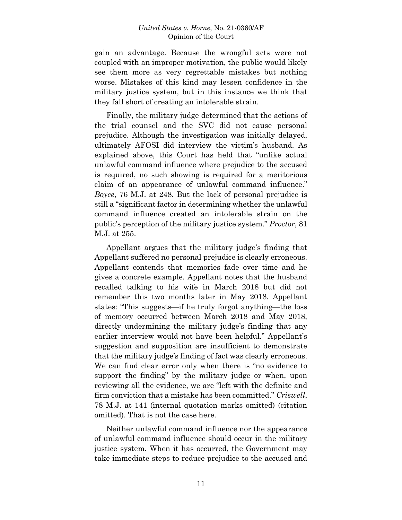gain an advantage. Because the wrongful acts were not coupled with an improper motivation, the public would likely see them more as very regrettable mistakes but nothing worse. Mistakes of this kind may lessen confidence in the military justice system, but in this instance we think that they fall short of creating an intolerable strain.

Finally, the military judge determined that the actions of the trial counsel and the SVC did not cause personal prejudice. Although the investigation was initially delayed, ultimately AFOSI did interview the victim's husband. As explained above, this Court has held that "unlike actual unlawful command influence where prejudice to the accused is required, no such showing is required for a meritorious claim of an appearance of unlawful command influence." *Boyce*, 76 M.J. at 248. But the lack of personal prejudice is still a "significant factor in determining whether the unlawful command influence created an intolerable strain on the public's perception of the military justice system." *Proctor*, 81 M.J. at 255.

Appellant argues that the military judge's finding that Appellant suffered no personal prejudice is clearly erroneous. Appellant contends that memories fade over time and he gives a concrete example. Appellant notes that the husband recalled talking to his wife in March 2018 but did not remember this two months later in May 2018. Appellant states: "This suggests—if he truly forgot anything—the loss of memory occurred between March 2018 and May 2018, directly undermining the military judge's finding that any earlier interview would not have been helpful." Appellant's suggestion and supposition are insufficient to demonstrate that the military judge's finding of fact was clearly erroneous. We can find clear error only when there is "no evidence to support the finding" by the military judge or when, upon reviewing all the evidence, we are "left with the definite and firm conviction that a mistake has been committed." *Criswell*, 78 M.J. at 141 (internal quotation marks omitted) (citation omitted). That is not the case here.

Neither unlawful command influence nor the appearance of unlawful command influence should occur in the military justice system. When it has occurred, the Government may take immediate steps to reduce prejudice to the accused and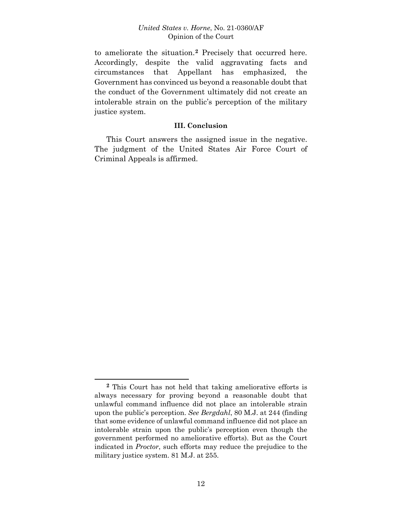to ameliorate the situation.**[2](#page-11-0)** Precisely that occurred here. Accordingly, despite the valid aggravating facts and circumstances that Appellant has emphasized, the Government has convinced us beyond a reasonable doubt that the conduct of the Government ultimately did not create an intolerable strain on the public's perception of the military justice system.

# **III. Conclusion**

This Court answers the assigned issue in the negative. The judgment of the United States Air Force Court of Criminal Appeals is affirmed.

 $\overline{a}$ 

<span id="page-11-0"></span>**<sup>2</sup>** This Court has not held that taking ameliorative efforts is always necessary for proving beyond a reasonable doubt that unlawful command influence did not place an intolerable strain upon the public's perception. *See Bergdahl*, 80 M.J. at 244 (finding that some evidence of unlawful command influence did not place an intolerable strain upon the public's perception even though the government performed no ameliorative efforts). But as the Court indicated in *Proctor*, such efforts may reduce the prejudice to the military justice system. 81 M.J. at 255.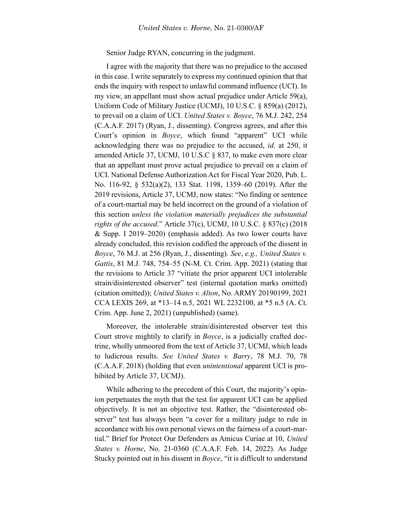Senior Judge RYAN, concurring in the judgment.

I agree with the majority that there was no prejudice to the accused in this case. I write separately to express my continued opinion that that ends the inquiry with respect to unlawful command influence (UCI). In my view, an appellant must show actual prejudice under Article 59(a), Uniform Code of Military Justice (UCMJ), 10 U.S.C. § 859(a) (2012), to prevail on a claim of UCI. *United States v. Boyce*, 76 M.J. 242, 254 (C.A.A.F. 2017) (Ryan, J., dissenting). Congress agrees, and after this Court's opinion in *Boyce*, which found "apparent" UCI while acknowledging there was no prejudice to the accused, *id*. at 250, it amended Article 37, UCMJ, 10 U.S.C § 837, to make even more clear that an appellant must prove actual prejudice to prevail on a claim of UCI. National Defense Authorization Act for Fiscal Year 2020, Pub. L. No. 116-92, § 532(a)(2), 133 Stat. 1198, 1359–60 (2019). After the 2019 revisions, Article 37, UCMJ, now states: "No finding or sentence of a court-martial may be held incorrect on the ground of a violation of this section *unless the violation materially prejudices the substantial rights of the accused*." Article 37(c), UCMJ, 10 U.S.C. § 837(c) (2018 & Supp. I 2019–2020) (emphasis added). As two lower courts have already concluded, this revision codified the approach of the dissent in *Boyce*, 76 M.J. at 256 (Ryan, J., dissenting). *See*, *e.g., United States v. Gattis*, 81 M.J. 748, 754–55 (N-M. Ct. Crim. App. 2021) (stating that the revisions to Article 37 "vitiate the prior apparent UCI intolerable strain/disinterested observer" test (internal quotation marks omitted) (citation omitted)); *United States v. Alton*, No. ARMY 20190199, 2021 CCA LEXIS 269, at \*13–14 n.5, 2021 WL 2232100, at \*5 n.5 (A. Ct. Crim. App. June 2, 2021) (unpublished) (same).

Moreover, the intolerable strain/disinterested observer test this Court strove mightily to clarify in *Boyce*, is a judicially crafted doctrine, wholly unmoored from the text of Article 37, UCMJ, which leads to ludicrous results. *See United States v. Barry*, 78 M.J. 70, 78 (C.A.A.F. 2018) (holding that even *unintentional* apparent UCI is prohibited by Article 37, UCMJ).

While adhering to the precedent of this Court, the majority's opinion perpetuates the myth that the test for apparent UCI can be applied objectively. It is not an objective test. Rather, the "disinterested observer" test has always been "a cover for a military judge to rule in accordance with his own personal views on the fairness of a court-martial." Brief for Protect Our Defenders as Amicus Curiae at 10, *United States v. Horne*, No. 21-0360 (C.A.A.F. Feb. 14, 2022). As Judge Stucky pointed out in his dissent in *Boyce*, "it is difficult to understand